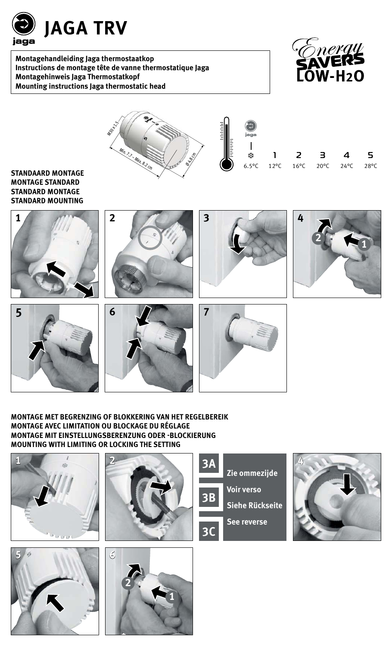

**Montagehandleiding Jaga thermostaatkop Instructions de montage tête de vanne thermostatique Jaga Montagehinweis Jaga Thermostatkopf Mounting instructions Jaga thermostatic head**





#### **STANDAARD MONTAGE MONTAGE STANDARD STANDARD MONTAGE STANDARD MOUNTING**









**7**



#### **MONTAGE MET BEGRENZING OF BLOKKERING VAN HET REGELBEREIK MONTAGE AVEC LIMITATION OU BLOCKAGE DU RÉGLAGE MONTAGE MIT EINSTELLUNGSBERENZUNG ODER -BLOCKIERUNG MOUNTING WITH LIMITING OR LOCKING THE SETTING**